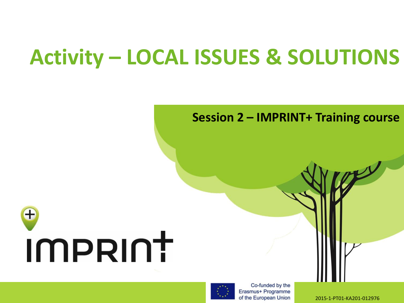# **Activity – LOCAL ISSUES & SOLUTIONS**







Co-funded by the Erasmus+ Programme of the European Union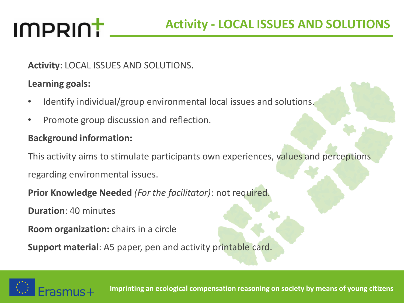# IMPRINT

**Activity**: LOCAL ISSUES AND SOLUTIONS.

## **Learning goals:**

- Identify individual/group environmental local issues and solutions.
- Promote group discussion and reflection.

### **Background information:**

This activity aims to stimulate participants own experiences, values and perceptions regarding environmental issues.

**Prior Knowledge Needed** *(For the facilitator)*: not required.

**Duration**: 40 minutes

**Room organization:** chairs in a circle

**Support material**: A5 paper, pen and activity printable card.



**Imprinting an ecological compensation reasoning on society by means of young citizens**